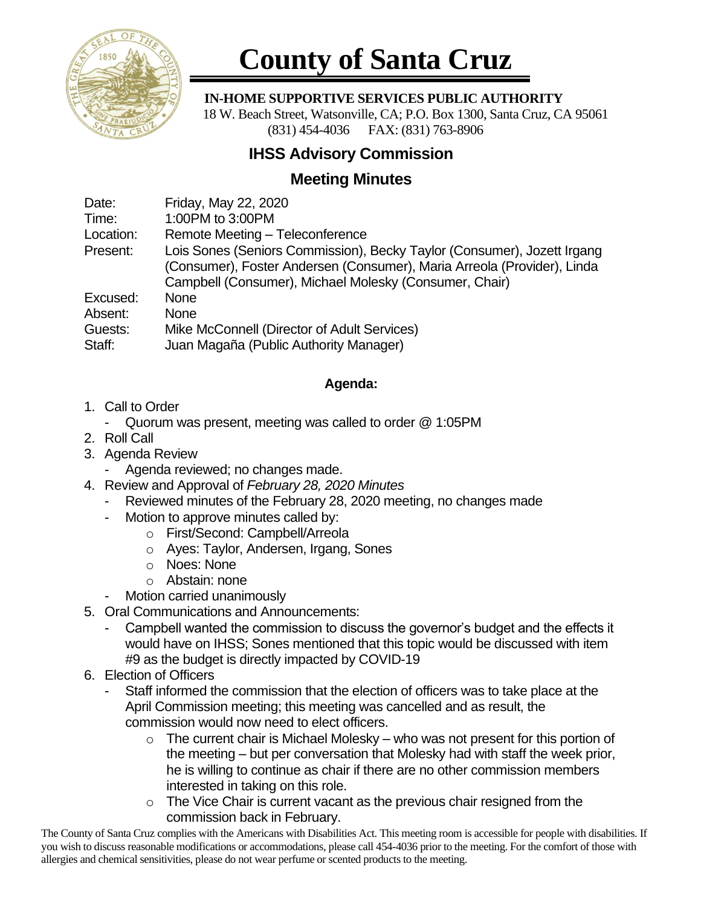

# **County of Santa Cruz**

#### **IN-HOME SUPPORTIVE SERVICES PUBLIC AUTHORITY**

 18 W. Beach Street, Watsonville, CA; P.O. Box 1300, Santa Cruz, CA 95061 (831) 454-4036 FAX: (831) 763-8906

## **IHSS Advisory Commission**

## **Meeting Minutes**

Date: Friday, May 22, 2020

Time: 1:00PM to 3:00PM

Location: Remote Meeting – Teleconference

Present: Lois Sones (Seniors Commission), Becky Taylor (Consumer), Jozett Irgang (Consumer), Foster Andersen (Consumer), Maria Arreola (Provider), Linda Campbell (Consumer), Michael Molesky (Consumer, Chair)

Excused: None

Absent: None

Guests: Mike McConnell (Director of Adult Services)

Staff: Juan Magaña (Public Authority Manager)

#### **Agenda:**

- 1. Call to Order
	- Quorum was present, meeting was called to order @ 1:05PM
- 2. Roll Call
- 3. Agenda Review
	- Agenda reviewed; no changes made.
- 4. Review and Approval of *February 28, 2020 Minutes*
	- Reviewed minutes of the February 28, 2020 meeting, no changes made
	- Motion to approve minutes called by:
		- o First/Second: Campbell/Arreola
		- o Ayes: Taylor, Andersen, Irgang, Sones
		- o Noes: None
		- o Abstain: none
	- Motion carried unanimously
- 5. Oral Communications and Announcements:
	- Campbell wanted the commission to discuss the governor's budget and the effects it would have on IHSS; Sones mentioned that this topic would be discussed with item #9 as the budget is directly impacted by COVID-19
- 6. Election of Officers
	- Staff informed the commission that the election of officers was to take place at the April Commission meeting; this meeting was cancelled and as result, the commission would now need to elect officers.
		- $\circ$  The current chair is Michael Molesky who was not present for this portion of the meeting – but per conversation that Molesky had with staff the week prior, he is willing to continue as chair if there are no other commission members interested in taking on this role.
		- $\circ$  The Vice Chair is current vacant as the previous chair resigned from the commission back in February.

The County of Santa Cruz complies with the Americans with Disabilities Act. This meeting room is accessible for people with disabilities. If you wish to discuss reasonable modifications or accommodations, please call 454-4036 prior to the meeting. For the comfort of those with allergies and chemical sensitivities, please do not wear perfume or scented products to the meeting.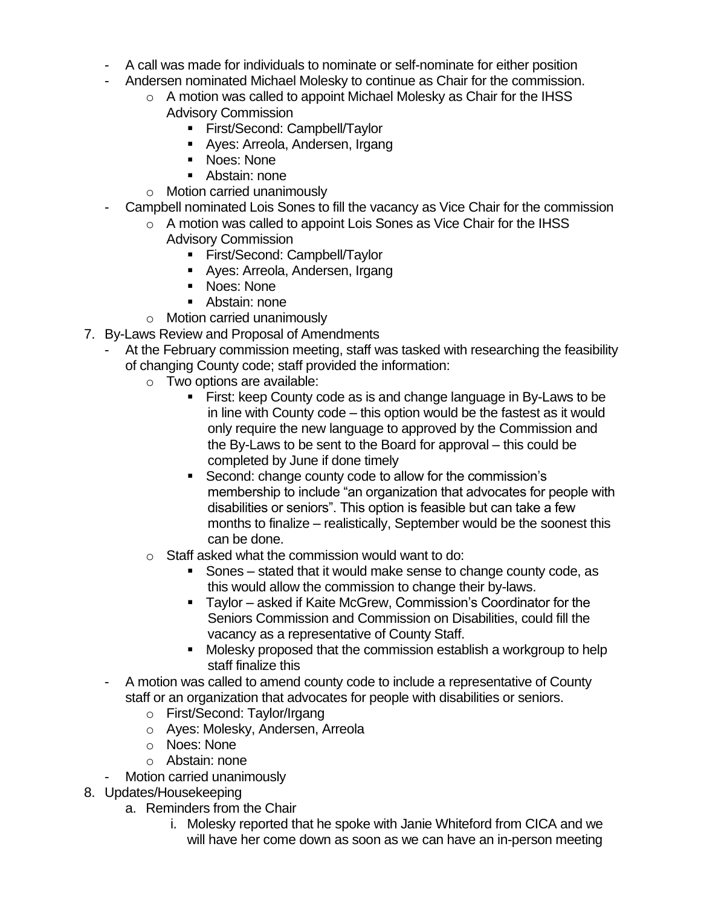- A call was made for individuals to nominate or self-nominate for either position
- Andersen nominated Michael Molesky to continue as Chair for the commission.
	- o A motion was called to appoint Michael Molesky as Chair for the IHSS Advisory Commission
		- **Eirst/Second: Campbell/Taylor**
		- Ayes: Arreola, Andersen, Irgang
		- Noes: None
		- Abstain: none
	- o Motion carried unanimously
- Campbell nominated Lois Sones to fill the vacancy as Vice Chair for the commission
	- o A motion was called to appoint Lois Sones as Vice Chair for the IHSS Advisory Commission
		- First/Second: Campbell/Taylor
		- Ayes: Arreola, Andersen, Irgang
		- Noes: None
		- Abstain: none
	- o Motion carried unanimously
- 7. By-Laws Review and Proposal of Amendments
	- At the February commission meeting, staff was tasked with researching the feasibility of changing County code; staff provided the information:
		- o Two options are available:
			- First: keep County code as is and change language in By-Laws to be in line with County code – this option would be the fastest as it would only require the new language to approved by the Commission and the By-Laws to be sent to the Board for approval – this could be completed by June if done timely
			- Second: change county code to allow for the commission's membership to include "an organization that advocates for people with disabilities or seniors". This option is feasible but can take a few months to finalize – realistically, September would be the soonest this can be done.
		- o Staff asked what the commission would want to do:
			- Sones stated that it would make sense to change county code, as this would allow the commission to change their by-laws.
			- Taylor asked if Kaite McGrew, Commission's Coordinator for the Seniors Commission and Commission on Disabilities, could fill the vacancy as a representative of County Staff.
			- Molesky proposed that the commission establish a workgroup to help staff finalize this
	- A motion was called to amend county code to include a representative of County staff or an organization that advocates for people with disabilities or seniors.
		- o First/Second: Taylor/Irgang
		- o Ayes: Molesky, Andersen, Arreola
		- o Noes: None
		- o Abstain: none
	- Motion carried unanimously
- 8. Updates/Housekeeping
	- a. Reminders from the Chair
		- i. Molesky reported that he spoke with Janie Whiteford from CICA and we will have her come down as soon as we can have an in-person meeting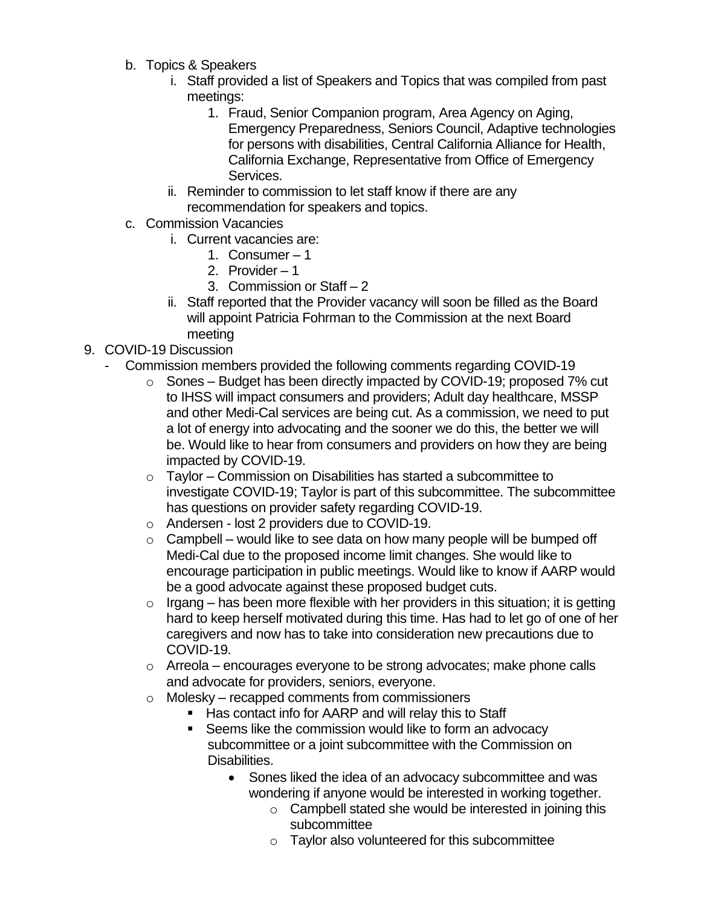- b. Topics & Speakers
	- i. Staff provided a list of Speakers and Topics that was compiled from past meetings:
		- 1. Fraud, Senior Companion program, Area Agency on Aging, Emergency Preparedness, Seniors Council, Adaptive technologies for persons with disabilities, Central California Alliance for Health, California Exchange, Representative from Office of Emergency Services.
	- ii. Reminder to commission to let staff know if there are any recommendation for speakers and topics.
- c. Commission Vacancies
	- i. Current vacancies are:
		- 1. Consumer 1
		- 2. Provider 1
		- 3. Commission or Staff 2
	- ii. Staff reported that the Provider vacancy will soon be filled as the Board will appoint Patricia Fohrman to the Commission at the next Board meeting
- 9. COVID-19 Discussion
	- Commission members provided the following comments regarding COVID-19
		- o Sones Budget has been directly impacted by COVID-19; proposed 7% cut to IHSS will impact consumers and providers; Adult day healthcare, MSSP and other Medi-Cal services are being cut. As a commission, we need to put a lot of energy into advocating and the sooner we do this, the better we will be. Would like to hear from consumers and providers on how they are being impacted by COVID-19.
		- o Taylor Commission on Disabilities has started a subcommittee to investigate COVID-19; Taylor is part of this subcommittee. The subcommittee has questions on provider safety regarding COVID-19.
		- o Andersen lost 2 providers due to COVID-19.
		- $\circ$  Campbell would like to see data on how many people will be bumped off Medi-Cal due to the proposed income limit changes. She would like to encourage participation in public meetings. Would like to know if AARP would be a good advocate against these proposed budget cuts.
		- $\circ$  Irgang has been more flexible with her providers in this situation; it is getting hard to keep herself motivated during this time. Has had to let go of one of her caregivers and now has to take into consideration new precautions due to COVID-19.
		- $\circ$  Arreola encourages everyone to be strong advocates; make phone calls and advocate for providers, seniors, everyone.
		- o Molesky recapped comments from commissioners
			- Has contact info for AARP and will relay this to Staff
			- Seems like the commission would like to form an advocacy subcommittee or a joint subcommittee with the Commission on Disabilities.
				- Sones liked the idea of an advocacy subcommittee and was wondering if anyone would be interested in working together.
					- o Campbell stated she would be interested in joining this subcommittee
					- o Taylor also volunteered for this subcommittee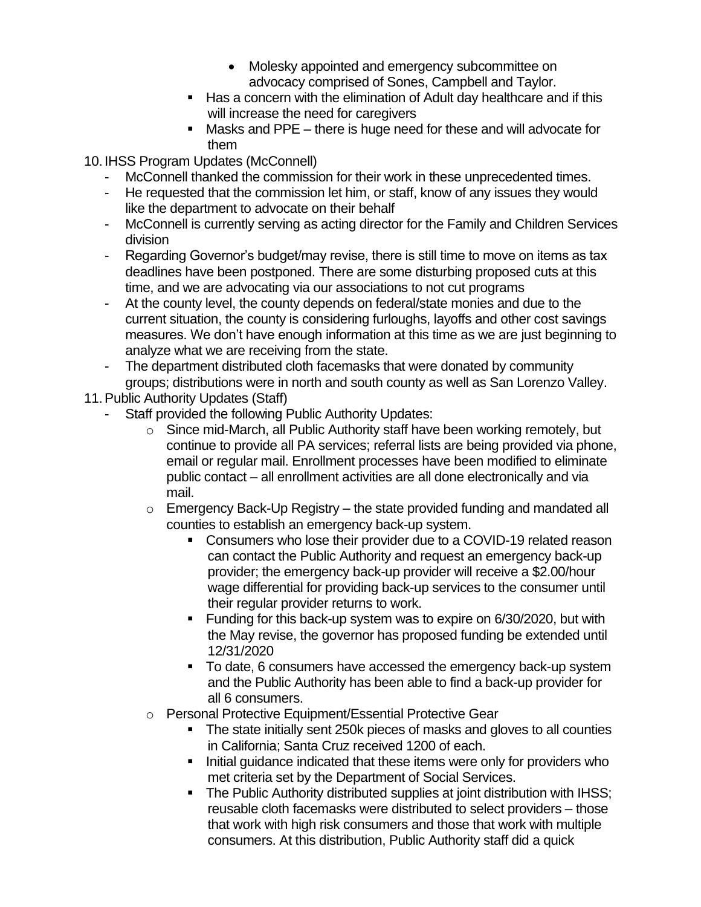- Molesky appointed and emergency subcommittee on advocacy comprised of Sones, Campbell and Taylor.
- Has a concern with the elimination of Adult day healthcare and if this will increase the need for caregivers
- Masks and PPE there is huge need for these and will advocate for them

10. IHSS Program Updates (McConnell)

- McConnell thanked the commission for their work in these unprecedented times.
- He requested that the commission let him, or staff, know of any issues they would like the department to advocate on their behalf
- McConnell is currently serving as acting director for the Family and Children Services division
- Regarding Governor's budget/may revise, there is still time to move on items as tax deadlines have been postponed. There are some disturbing proposed cuts at this time, and we are advocating via our associations to not cut programs
- At the county level, the county depends on federal/state monies and due to the current situation, the county is considering furloughs, layoffs and other cost savings measures. We don't have enough information at this time as we are just beginning to analyze what we are receiving from the state.
- The department distributed cloth facemasks that were donated by community groups; distributions were in north and south county as well as San Lorenzo Valley.
- 11.Public Authority Updates (Staff)
	- Staff provided the following Public Authority Updates:
		- o Since mid-March, all Public Authority staff have been working remotely, but continue to provide all PA services; referral lists are being provided via phone, email or regular mail. Enrollment processes have been modified to eliminate public contact – all enrollment activities are all done electronically and via mail.
		- $\circ$  Emergency Back-Up Registry the state provided funding and mandated all counties to establish an emergency back-up system.
			- Consumers who lose their provider due to a COVID-19 related reason can contact the Public Authority and request an emergency back-up provider; the emergency back-up provider will receive a \$2.00/hour wage differential for providing back-up services to the consumer until their regular provider returns to work.
			- Funding for this back-up system was to expire on 6/30/2020, but with the May revise, the governor has proposed funding be extended until 12/31/2020
			- To date, 6 consumers have accessed the emergency back-up system and the Public Authority has been able to find a back-up provider for all 6 consumers.
		- o Personal Protective Equipment/Essential Protective Gear
			- The state initially sent 250k pieces of masks and gloves to all counties in California; Santa Cruz received 1200 of each.
			- Initial guidance indicated that these items were only for providers who met criteria set by the Department of Social Services.
			- **The Public Authority distributed supplies at joint distribution with IHSS;** reusable cloth facemasks were distributed to select providers – those that work with high risk consumers and those that work with multiple consumers. At this distribution, Public Authority staff did a quick